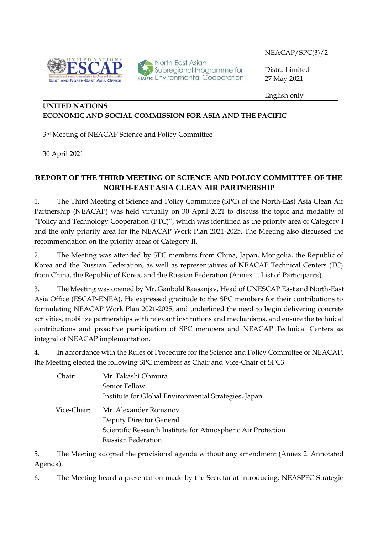NEACAP/SPC(3)/2



North-East Asian<br>Subregional Programme for<br>NEASPEC ENVironmental Cooperation

 Distr.: Limited 27 May 2021

English only

## **UNITED NATIONS ECONOMIC AND SOCIAL COMMISSION FOR ASIA AND THE PACIFIC**

3rd Meeting of NEACAP Science and Policy Committee

30 April 2021

l

## **REPORT OF THE THIRD MEETING OF SCIENCE AND POLICY COMMITTEE OF THE NORTH-EAST ASIA CLEAN AIR PARTNERSHIP**

1. The Third Meeting of Science and Policy Committee (SPC) of the North-East Asia Clean Air Partnership (NEACAP) was held virtually on 30 April 2021 to discuss the topic and modality of "Policy and Technology Cooperation (PTC)", which was identified as the priority area of Category I and the only priority area for the NEACAP Work Plan 2021-2025. The Meeting also discussed the recommendation on the priority areas of Category II.

2. The Meeting was attended by SPC members from China, Japan, Mongolia, the Republic of Korea and the Russian Federation, as well as representatives of NEACAP Technical Centers (TC) from China, the Republic of Korea, and the Russian Federation (Annex 1. List of Participants).

3. The Meeting was opened by Mr. Ganbold Baasanjav, Head of UNESCAP East and North-East Asia Office (ESCAP-ENEA). He expressed gratitude to the SPC members for their contributions to formulating NEACAP Work Plan 2021-2025, and underlined the need to begin delivering concrete activities, mobilize partnerships with relevant institutions and mechanisms, and ensure the technical contributions and proactive participation of SPC members and NEACAP Technical Centers as integral of NEACAP implementation.

4. In accordance with the Rules of Procedure for the Science and Policy Committee of NEACAP, the Meeting elected the following SPC members as Chair and Vice-Chair of SPC3:

| Chair:      | Mr. Takashi Ohmura                                           |
|-------------|--------------------------------------------------------------|
|             | Senior Fellow                                                |
|             | Institute for Global Environmental Strategies, Japan         |
| Vice-Chair: | Mr. Alexander Romanov                                        |
|             | Deputy Director General                                      |
|             | Scientific Research Institute for Atmospheric Air Protection |
|             | <b>Russian Federation</b>                                    |

5. The Meeting adopted the provisional agenda without any amendment (Annex 2. Annotated Agenda).

6. The Meeting heard a presentation made by the Secretariat introducing: NEASPEC Strategic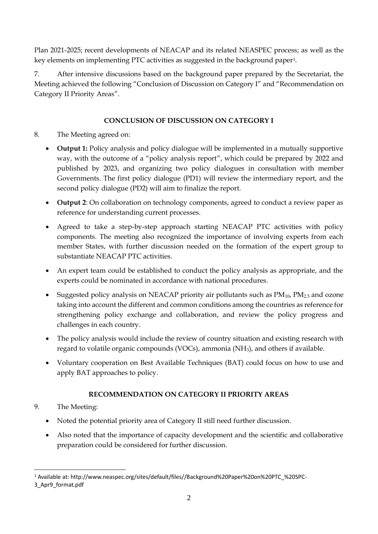Plan 2021-2025; recent developments of NEACAP and its related NEASPEC process; as well as the key elements on implementing PTC activities as suggested in the background paper<sup>1</sup>.

7. After intensive discussions based on the background paper prepared by the Secretariat, the Meeting achieved the following "Conclusion of Discussion on Category I" and "Recommendation on Category II Priority Areas".

# **CONCLUSION OF DISCUSSION ON CATEGORY I**

- 8. The Meeting agreed on:
	- **Output 1:** Policy analysis and policy dialogue will be implemented in a mutually supportive way, with the outcome of a "policy analysis report", which could be prepared by 2022 and published by 2023, and organizing two policy dialogues in consultation with member Governments. The first policy dialogue (PD1) will review the intermediary report, and the second policy dialogue (PD2) will aim to finalize the report.
	- **Output 2**: On collaboration on technology components, agreed to conduct a review paper as reference for understanding current processes.
	- Agreed to take a step-by-step approach starting NEACAP PTC activities with policy components. The meeting also recognized the importance of involving experts from each member States, with further discussion needed on the formation of the expert group to substantiate NEACAP PTC activities.
	- An expert team could be established to conduct the policy analysis as appropriate, and the experts could be nominated in accordance with national procedures.
	- Suggested policy analysis on NEACAP priority air pollutants such as  $PM_{10}$ ,  $PM_{2.5}$  and ozone taking into account the different and common conditions among the countries as reference for strengthening policy exchange and collaboration, and review the policy progress and challenges in each country.
	- The policy analysis would include the review of country situation and existing research with regard to volatile organic compounds (VOCs), ammonia (NH3), and others if available.
	- Voluntary cooperation on Best Available Techniques (BAT) could focus on how to use and apply BAT approaches to policy.

# **RECOMMENDATION ON CATEGORY II PRIORITY AREAS**

- 9. The Meeting:
	- Noted the potential priority area of Category II still need further discussion.
	- Also noted that the importance of capacity development and the scientific and collaborative preparation could be considered for further discussion.

<sup>1</sup> Available at: http://www.neaspec.org/sites/default/files//Background%20Paper%20on%20PTC\_%20SPC-

<sup>3</sup>\_Apr9\_format.pdf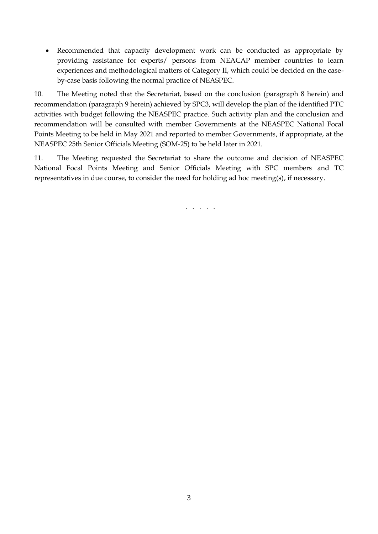• Recommended that capacity development work can be conducted as appropriate by providing assistance for experts/ persons from NEACAP member countries to learn experiences and methodological matters of Category II, which could be decided on the caseby-case basis following the normal practice of NEASPEC.

10. The Meeting noted that the Secretariat, based on the conclusion (paragraph 8 herein) and recommendation (paragraph 9 herein) achieved by SPC3, will develop the plan of the identified PTC activities with budget following the NEASPEC practice. Such activity plan and the conclusion and recommendation will be consulted with member Governments at the NEASPEC National Focal Points Meeting to be held in May 2021 and reported to member Governments, if appropriate, at the NEASPEC 25th Senior Officials Meeting (SOM-25) to be held later in 2021.

11. The Meeting requested the Secretariat to share the outcome and decision of NEASPEC National Focal Points Meeting and Senior Officials Meeting with SPC members and TC representatives in due course, to consider the need for holding ad hoc meeting(s), if necessary.

. . . . .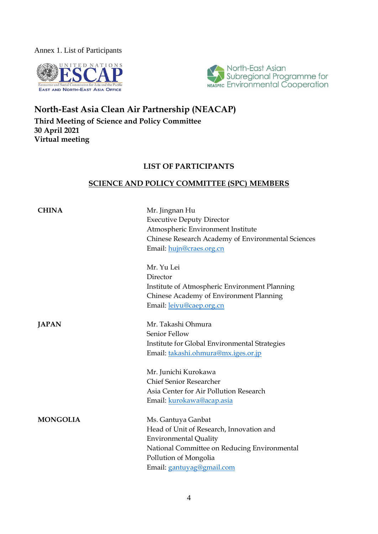Annex 1. List of Participants





# **North-East Asia Clean Air Partnership (NEACAP) Third Meeting of Science and Policy Committee 30 April 2021 Virtual meeting**

## **LIST OF PARTICIPANTS**

## **SCIENCE AND POLICY COMMITTEE (SPC) MEMBERS**

| <b>CHINA</b>    | Mr. Jingnan Hu<br><b>Executive Deputy Director</b><br>Atmospheric Environment Institute<br>Chinese Research Academy of Environmental Sciences<br>Email: hujn@craes.org.cn                            |
|-----------------|------------------------------------------------------------------------------------------------------------------------------------------------------------------------------------------------------|
|                 | Mr. Yu Lei<br>Director<br>Institute of Atmospheric Environment Planning<br>Chinese Academy of Environment Planning<br>Email: <u>leiyu@caep.org.cn</u>                                                |
| <b>JAPAN</b>    | Mr. Takashi Ohmura<br>Senior Fellow<br>Institute for Global Environmental Strategies<br>Email: takashi.ohmura@mx.iges.or.jp                                                                          |
|                 | Mr. Junichi Kurokawa<br><b>Chief Senior Researcher</b><br>Asia Center for Air Pollution Research<br>Email: kurokawa@acap.asia                                                                        |
| <b>MONGOLIA</b> | Ms. Gantuya Ganbat<br>Head of Unit of Research, Innovation and<br><b>Environmental Quality</b><br>National Committee on Reducing Environmental<br>Pollution of Mongolia<br>Email: gantuyag@gmail.com |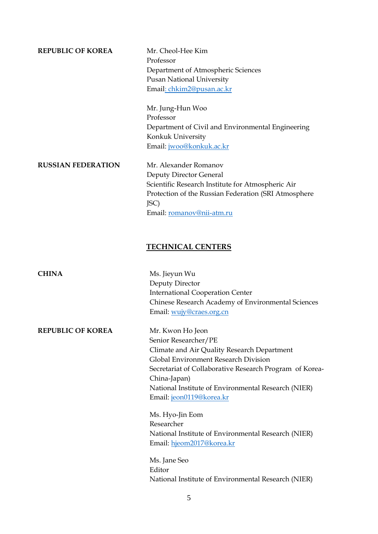**REPUBLIC OF KOREA** Mr. Cheol-Hee Kim

Professor Department of Atmospheric Sciences Pusan National University Email: [chkim2@pusan.ac.kr](mailto:chkim2@pusan.ac.kr)

Mr. Jung-Hun Woo Professor Department of Civil and Environmental Engineering Konkuk University Email: [jwoo@konkuk.ac.kr](mailto:jwoo@konkuk.ac.kr)

**RUSSIAN FEDERATION** Mr. Alexander Romanov Deputy Director General Scientific Research Institute for Atmospheric Air Protection of the Russian Federation (SRI Atmosphere JSC) Email: [romanov@nii-atm.ru](mailto:romanov@nii-atm.ru)

## **TECHNICAL CENTERS**

| <b>CHINA</b>             | Ms. Jieyun Wu                                           |
|--------------------------|---------------------------------------------------------|
|                          | Deputy Director                                         |
|                          | <b>International Cooperation Center</b>                 |
|                          | Chinese Research Academy of Environmental Sciences      |
|                          | Email: wujy@craes.org.cn                                |
| <b>REPUBLIC OF KOREA</b> | Mr. Kwon Ho Jeon                                        |
|                          | Senior Researcher/PE                                    |
|                          | Climate and Air Quality Research Department             |
|                          | Global Environment Research Division                    |
|                          | Secretariat of Collaborative Research Program of Korea- |
|                          | China-Japan)                                            |
|                          | National Institute of Environmental Research (NIER)     |
|                          | Email: jeon0119@korea.kr                                |
|                          | Ms. Hyo-Jin Eom                                         |
|                          | Researcher                                              |
|                          | National Institute of Environmental Research (NIER)     |
|                          | Email: hjeom2017@korea.kr                               |
|                          | Ms. Jane Seo                                            |
|                          | Editor                                                  |
|                          | National Institute of Environmental Research (NIER)     |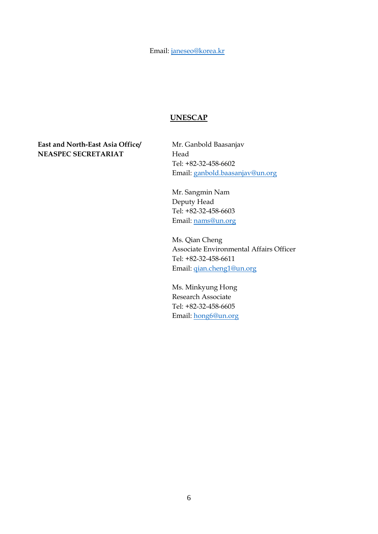Email[: janeseo@korea.kr](mailto:janeseo@korea.kr)

#### **UNESCAP**

**East and North-East Asia Office/ NEASPEC SECRETARIAT**

Mr. Ganbold Baasanjav Head Tel: +82-32-458-6602 Email: [ganbold.baasanjav@un.org](mailto:ganbold.baasanjav@un.org)

Mr. Sangmin Nam Deputy Head Tel: +82-32-458-6603 Email: [nams@un.org](mailto:nams@un.org) 

Ms. Qian Cheng Associate Environmental Affairs Officer Tel: +82-32-458-6611 Email: [qian.cheng1@un.org](mailto:qian.cheng1@un.org)

Ms. Minkyung Hong Research Associate Tel: +82-32-458-6605 Email: [hong6@un.org](mailto:hong6@un.org)